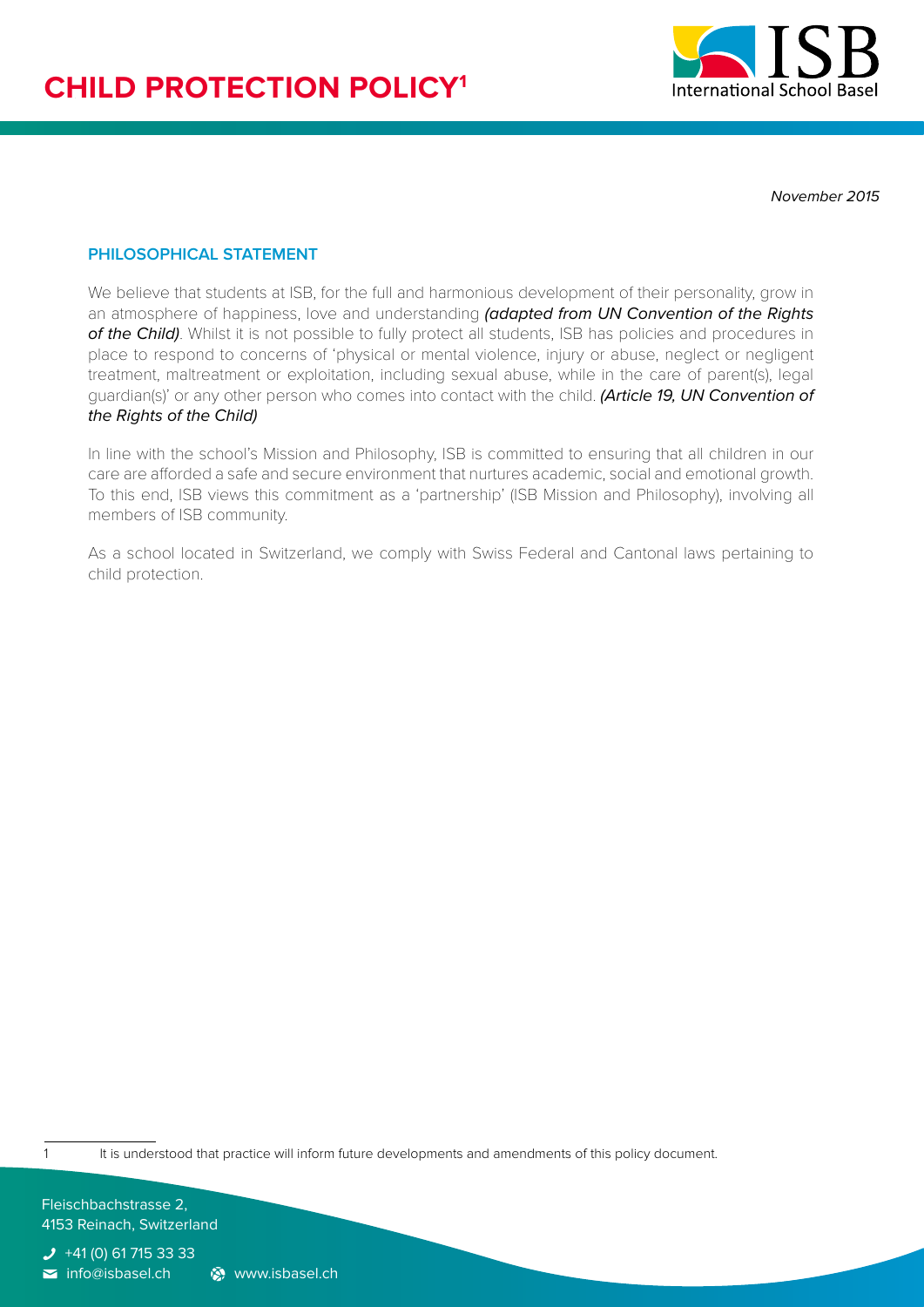

*November 2015*

## **PHILOSOPHICAL STATEMENT**

We believe that students at ISB, for the full and harmonious development of their personality, grow in an atmosphere of happiness, love and understanding *(adapted from UN Convention of the Rights*  of the Child). Whilst it is not possible to fully protect all students, ISB has policies and procedures in place to respond to concerns of 'physical or mental violence, injury or abuse, neglect or negligent treatment, maltreatment or exploitation, including sexual abuse, while in the care of parent(s), legal guardian(s)' or any other person who comes into contact with the child. *(Article 19, UN Convention of the Rights of the Child)*

In line with the school's Mission and Philosophy, ISB is committed to ensuring that all children in our care are afforded a safe and secure environment that nurtures academic, social and emotional growth. To this end, ISB views this commitment as a 'partnership' (ISB Mission and Philosophy), involving all members of ISB community.

As a school located in Switzerland, we comply with Swiss Federal and Cantonal laws pertaining to child protection.

1 It is understood that practice will inform future developments and amendments of this policy document.

Fleischbachstrasse 2, 4153 Reinach, Switzerland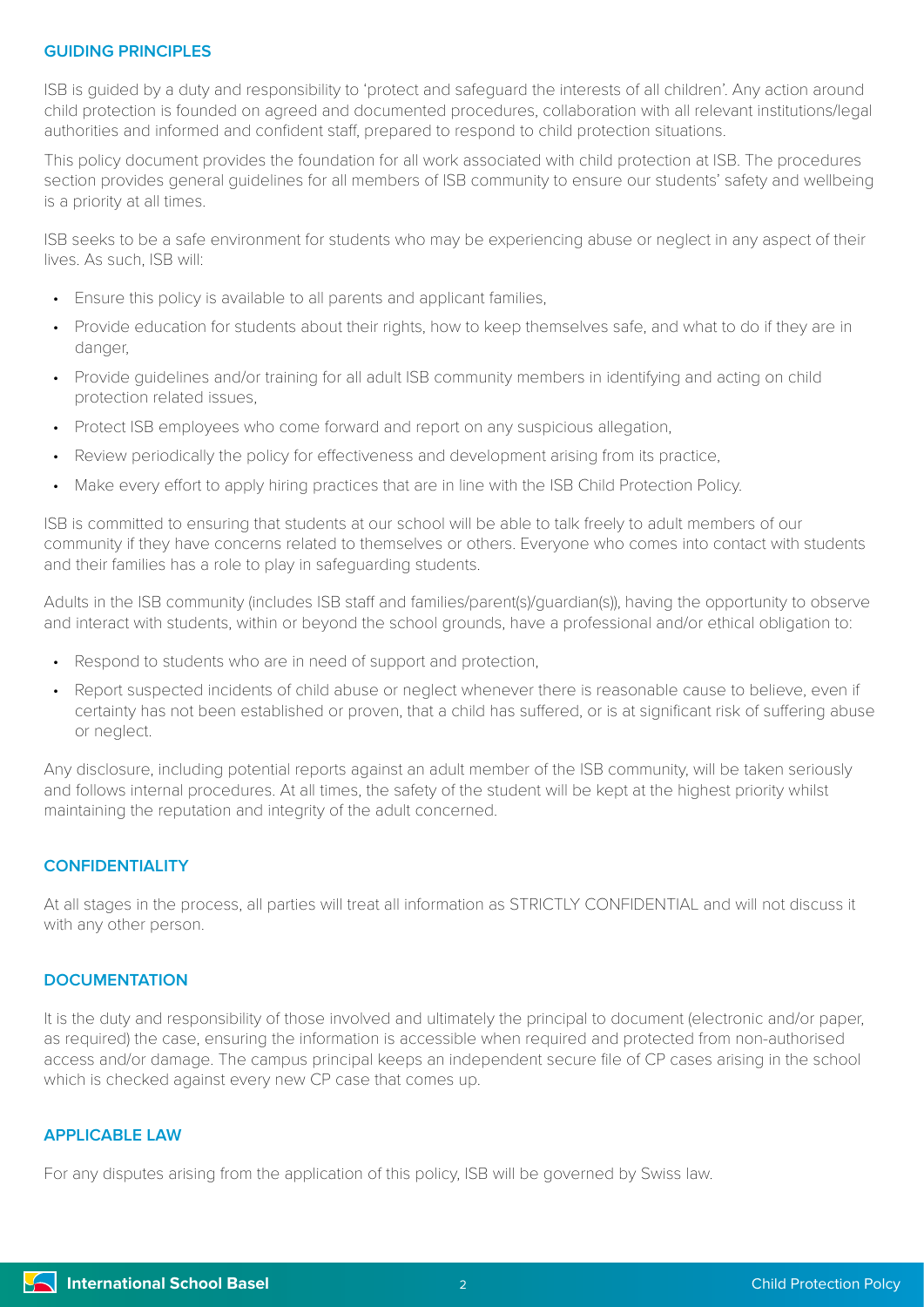## **GUIDING PRINCIPLES**

ISB is guided by a duty and responsibility to 'protect and safeguard the interests of all children'. Any action around child protection is founded on agreed and documented procedures, collaboration with all relevant institutions/legal authorities and informed and confident staff, prepared to respond to child protection situations.

This policy document provides the foundation for all work associated with child protection at ISB. The procedures section provides general guidelines for all members of ISB community to ensure our students' safety and wellbeing is a priority at all times.

ISB seeks to be a safe environment for students who may be experiencing abuse or neglect in any aspect of their lives. As such, ISB will:

- Ensure this policy is available to all parents and applicant families,
- Provide education for students about their rights, how to keep themselves safe, and what to do if they are in danger,
- Provide guidelines and/or training for all adult ISB community members in identifying and acting on child protection related issues,
- Protect ISB employees who come forward and report on any suspicious allegation,
- Review periodically the policy for effectiveness and development arising from its practice,
- Make every effort to apply hiring practices that are in line with the ISB Child Protection Policy.

ISB is committed to ensuring that students at our school will be able to talk freely to adult members of our community if they have concerns related to themselves or others. Everyone who comes into contact with students and their families has a role to play in safeguarding students.

Adults in the ISB community (includes ISB staff and families/parent(s)/guardian(s)), having the opportunity to observe and interact with students, within or beyond the school grounds, have a professional and/or ethical obligation to:

- Respond to students who are in need of support and protection,
- Report suspected incidents of child abuse or neglect whenever there is reasonable cause to believe, even if certainty has not been established or proven, that a child has suffered, or is at significant risk of suffering abuse or neglect.

Any disclosure, including potential reports against an adult member of the ISB community, will be taken seriously and follows internal procedures. At all times, the safety of the student will be kept at the highest priority whilst maintaining the reputation and integrity of the adult concerned.

## **CONFIDENTIALITY**

At all stages in the process, all parties will treat all information as STRICTLY CONFIDENTIAL and will not discuss it with any other person.

## **DOCUMENTATION**

It is the duty and responsibility of those involved and ultimately the principal to document (electronic and/or paper, as required) the case, ensuring the information is accessible when required and protected from non-authorised access and/or damage. The campus principal keeps an independent secure file of CP cases arising in the school which is checked against every new CP case that comes up.

#### **APPLICABLE LAW**

For any disputes arising from the application of this policy, ISB will be governed by Swiss law.